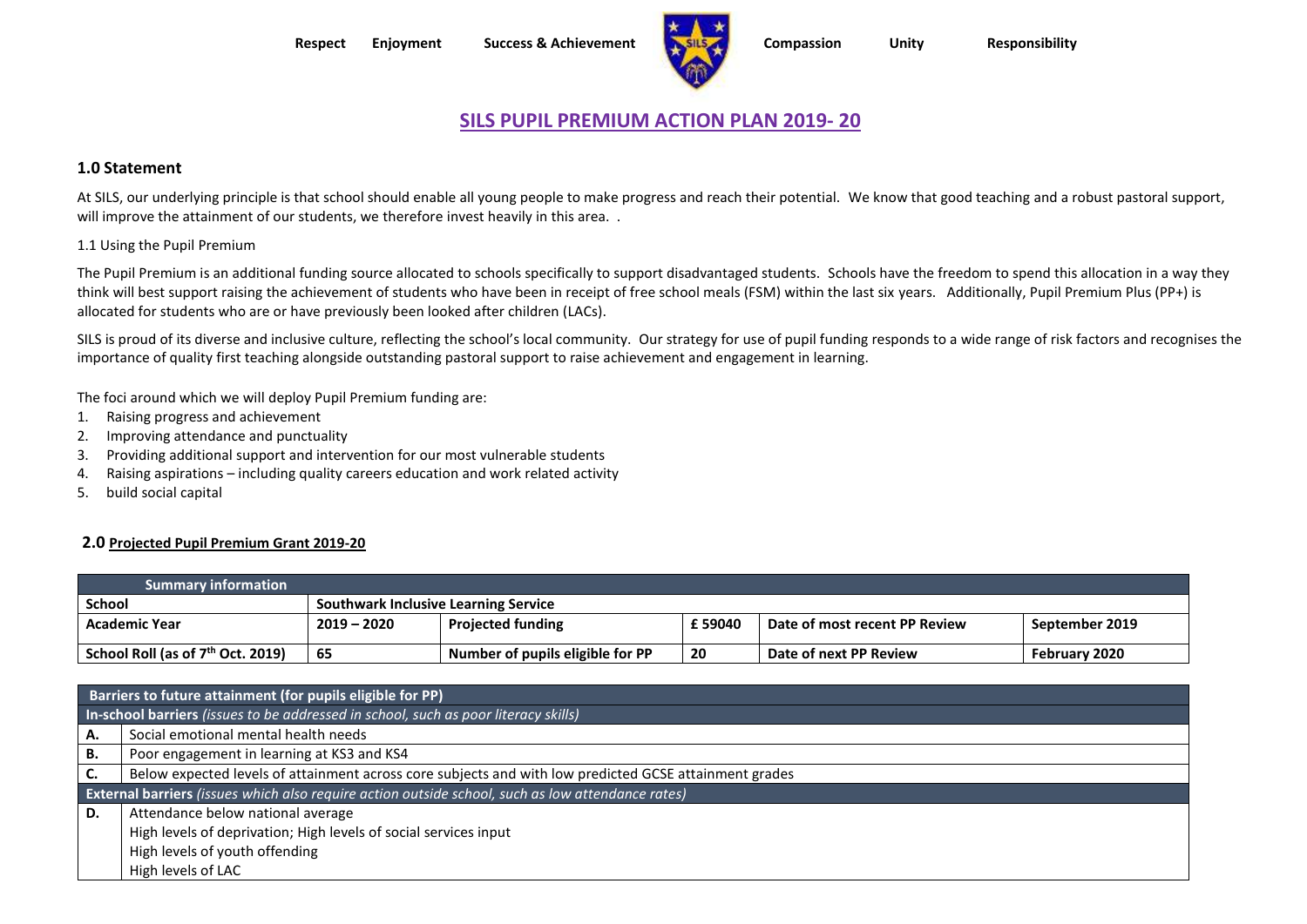**Respect Enjoyment Success & Achievement Compassion Unity Responsibility**



# **SILS PUPIL PREMIUM ACTION PLAN 2019- 20**

# **1.0 Statement**

At SILS, our underlying principle is that school should enable all young people to make progress and reach their potential. We know that good teaching and a robust pastoral support, will improve the attainment of our students, we therefore invest heavily in this area. .

#### 1.1 Using the Pupil Premium

The Pupil Premium is an additional funding source allocated to schools specifically to support disadvantaged students. Schools have the freedom to spend this allocation in a way they think will best support raising the achievement of students who have been in receipt of free school meals (FSM) within the last six years. Additionally, Pupil Premium Plus (PP+) is allocated for students who are or have previously been looked after children (LACs).

SILS is proud of its diverse and inclusive culture, reflecting the school's local community. Our strategy for use of pupil funding responds to a wide range of risk factors and recognises the importance of quality first teaching alongside outstanding pastoral support to raise achievement and engagement in learning.

The foci around which we will deploy Pupil Premium funding are:

- 1. Raising progress and achievement
- 2. Improving attendance and punctuality
- 3. Providing additional support and intervention for our most vulnerable students
- 4. Raising aspirations including quality careers education and work related activity
- 5. build social capital

### **2.0 Projected Pupil Premium Grant 2019-20**

| <b>Summary information</b>          |                                             |                                  |        |                               |                |
|-------------------------------------|---------------------------------------------|----------------------------------|--------|-------------------------------|----------------|
| School                              | <b>Southwark Inclusive Learning Service</b> |                                  |        |                               |                |
| <b>Academic Year</b>                | $2019 - 2020$                               | <b>Projected funding</b>         | £59040 | Date of most recent PP Review | September 2019 |
| School Roll (as of $7th$ Oct. 2019) | -65                                         | Number of pupils eligible for PP | 20     | Date of next PP Review        | February 2020  |

|    | Barriers to future attainment (for pupils eligible for PP)                                               |  |  |  |  |
|----|----------------------------------------------------------------------------------------------------------|--|--|--|--|
|    | In-school barriers (issues to be addressed in school, such as poor literacy skills)                      |  |  |  |  |
| А. | Social emotional mental health needs                                                                     |  |  |  |  |
| В. | Poor engagement in learning at KS3 and KS4                                                               |  |  |  |  |
| C. | Below expected levels of attainment across core subjects and with low predicted GCSE attainment grades   |  |  |  |  |
|    | <b>External barriers</b> (issues which also require action outside school, such as low attendance rates) |  |  |  |  |
| D. | Attendance below national average                                                                        |  |  |  |  |
|    | High levels of deprivation; High levels of social services input                                         |  |  |  |  |
|    | High levels of youth offending                                                                           |  |  |  |  |
|    | High levels of LAC                                                                                       |  |  |  |  |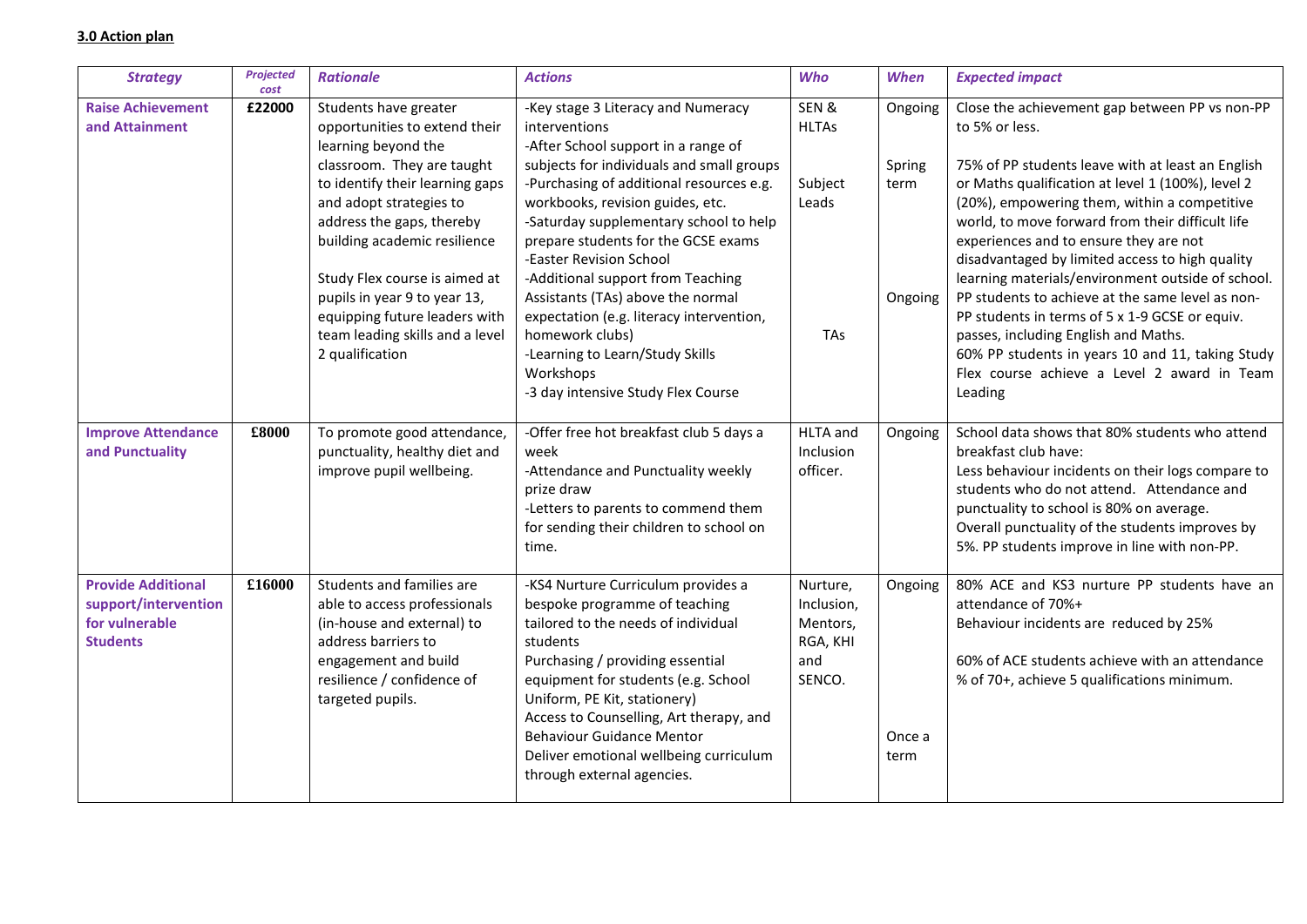# **3.0 Action plan**

| <b>Strategy</b>                                                                        | <b>Projected</b><br>cost | <b>Rationale</b>                                                                                                                                                                                                                                                                                        | <b>Actions</b>                                                                                                                                                                                                                                                                                                                                                                                                | <b>Who</b>                                                      | <b>When</b>                          | <b>Expected impact</b>                                                                                                                                                                                                                                                                                                                                                                                                                                                               |
|----------------------------------------------------------------------------------------|--------------------------|---------------------------------------------------------------------------------------------------------------------------------------------------------------------------------------------------------------------------------------------------------------------------------------------------------|---------------------------------------------------------------------------------------------------------------------------------------------------------------------------------------------------------------------------------------------------------------------------------------------------------------------------------------------------------------------------------------------------------------|-----------------------------------------------------------------|--------------------------------------|--------------------------------------------------------------------------------------------------------------------------------------------------------------------------------------------------------------------------------------------------------------------------------------------------------------------------------------------------------------------------------------------------------------------------------------------------------------------------------------|
| <b>Raise Achievement</b><br>and Attainment                                             | £22000                   | Students have greater<br>opportunities to extend their<br>learning beyond the<br>classroom. They are taught<br>to identify their learning gaps<br>and adopt strategies to<br>address the gaps, thereby<br>building academic resilience<br>Study Flex course is aimed at<br>pupils in year 9 to year 13, | -Key stage 3 Literacy and Numeracy<br>interventions<br>-After School support in a range of<br>subjects for individuals and small groups<br>-Purchasing of additional resources e.g.<br>workbooks, revision guides, etc.<br>-Saturday supplementary school to help<br>prepare students for the GCSE exams<br>-Easter Revision School<br>-Additional support from Teaching<br>Assistants (TAs) above the normal | SEN&<br><b>HLTAs</b><br>Subject<br>Leads                        | Ongoing<br>Spring<br>term<br>Ongoing | Close the achievement gap between PP vs non-PP<br>to 5% or less.<br>75% of PP students leave with at least an English<br>or Maths qualification at level 1 (100%), level 2<br>(20%), empowering them, within a competitive<br>world, to move forward from their difficult life<br>experiences and to ensure they are not<br>disadvantaged by limited access to high quality<br>learning materials/environment outside of school.<br>PP students to achieve at the same level as non- |
|                                                                                        |                          | equipping future leaders with<br>team leading skills and a level<br>2 qualification                                                                                                                                                                                                                     | expectation (e.g. literacy intervention,<br>homework clubs)<br>-Learning to Learn/Study Skills<br>Workshops<br>-3 day intensive Study Flex Course                                                                                                                                                                                                                                                             | TAs                                                             |                                      | PP students in terms of 5 x 1-9 GCSE or equiv.<br>passes, including English and Maths.<br>60% PP students in years 10 and 11, taking Study<br>Flex course achieve a Level 2 award in Team<br>Leading                                                                                                                                                                                                                                                                                 |
| <b>Improve Attendance</b><br>and Punctuality                                           | £8000                    | To promote good attendance,<br>punctuality, healthy diet and<br>improve pupil wellbeing.                                                                                                                                                                                                                | -Offer free hot breakfast club 5 days a<br>week<br>-Attendance and Punctuality weekly<br>prize draw<br>-Letters to parents to commend them<br>for sending their children to school on<br>time.                                                                                                                                                                                                                | <b>HLTA</b> and<br>Inclusion<br>officer.                        | Ongoing                              | School data shows that 80% students who attend<br>breakfast club have:<br>Less behaviour incidents on their logs compare to<br>students who do not attend. Attendance and<br>punctuality to school is 80% on average.<br>Overall punctuality of the students improves by<br>5%. PP students improve in line with non-PP.                                                                                                                                                             |
| <b>Provide Additional</b><br>support/intervention<br>for vulnerable<br><b>Students</b> | £16000                   | Students and families are<br>able to access professionals<br>(in-house and external) to<br>address barriers to<br>engagement and build<br>resilience / confidence of<br>targeted pupils.                                                                                                                | -KS4 Nurture Curriculum provides a<br>bespoke programme of teaching<br>tailored to the needs of individual<br>students<br>Purchasing / providing essential<br>equipment for students (e.g. School<br>Uniform, PE Kit, stationery)<br>Access to Counselling, Art therapy, and<br><b>Behaviour Guidance Mentor</b><br>Deliver emotional wellbeing curriculum<br>through external agencies.                      | Nurture,<br>Inclusion,<br>Mentors,<br>RGA, KHI<br>and<br>SENCO. | Ongoing<br>Once a<br>term            | 80% ACE and KS3 nurture PP students have an<br>attendance of 70%+<br>Behaviour incidents are reduced by 25%<br>60% of ACE students achieve with an attendance<br>% of 70+, achieve 5 qualifications minimum.                                                                                                                                                                                                                                                                         |